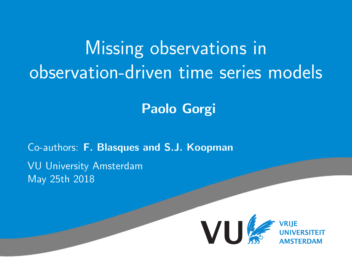# Missing observations in observation-driven time series models

### Paolo Gorgi

Co-authors: F. Blasques and S.J. Koopman VU University Amsterdam May 25th 2018

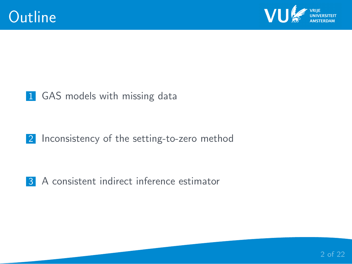



#### [Inconsistency of the setting-to-zero method](#page-7-0)

[A consistent indirect inference estimator](#page-13-0)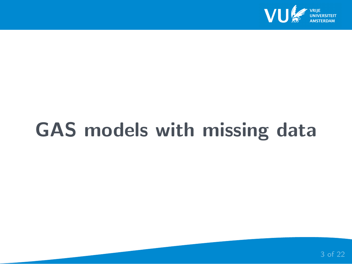

# <span id="page-2-0"></span>GAS models with missing data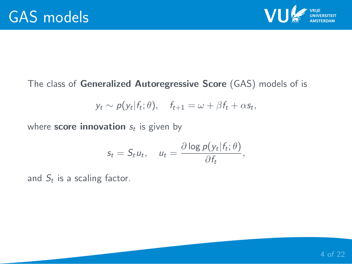

#### The class of Generalized Autoregressive Score (GAS) models of is

$$
y_t \sim p(y_t | f_t; \theta), \quad f_{t+1} = \omega + \beta f_t + \alpha s_t,
$$

where  ${\sf score}$  innovation  $s_t$  is given by

$$
s_t = S_t u_t, \quad u_t = \frac{\partial \log p(y_t | f_t; \theta)}{\partial f_t},
$$

and  $S_t$  is a scaling factor.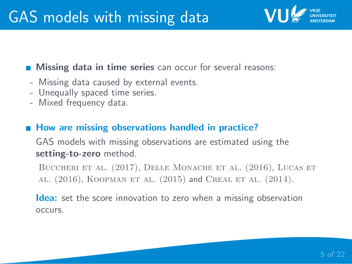

- Missing data caused by external events.
- Unequally spaced time series.
- Mixed frequency data.

#### ■ How are missing observations handled in practice?

GAS models with missing observations are estimated using the setting-to-zero method.

BUCCHERI ET AL. (2017), DELLE MONACHE ET AL. (2016), LUCAS ET al. (2016), Koopman et al. (2015) and Creal et al. (2014).

Idea: set the score innovation to zero when a missing observation occurs.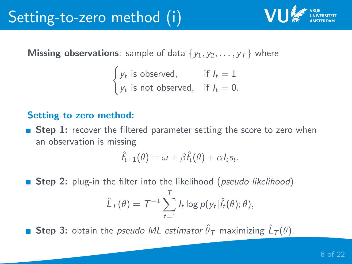

**Missing observations**: sample of data  $\{y_1, y_2, \ldots, y_T\}$  where

 $\int y_t$  is observed, if  $I_t = 1$  $y_t$  is not observed, if  $I_t = 0$ .

#### Setting-to-zero method:

**Step 1:** recover the filtered parameter setting the score to zero when an observation is missing

$$
\hat{f}_{t+1}(\theta) = \omega + \beta \hat{f}_t(\theta) + \alpha I_t s_t.
$$

**Step 2:** plug-in the filter into the likelihood (*pseudo likelihood*)

$$
\hat{L}_{\mathcal{T}}(\theta) = \mathcal{T}^{-1} \sum_{t=1}^T I_t \log p(y_t|\hat{f}_t(\theta); \theta),
$$

**Step 3:** obtain the *pseudo ML estimator*  $\hat{\theta}_{\mathcal{T}}$  *maximizing*  $\hat{L}_\mathcal{T}(\theta)$ *.*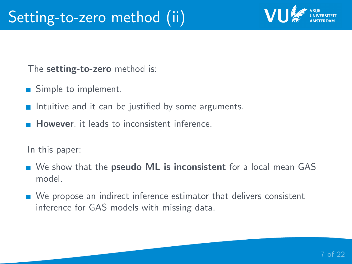The setting-to-zero method is:

- Simple to implement.
- Intuitive and it can be justified by some arguments.
- **However**, it leads to inconsistent inference.

In this paper:

- We show that the pseudo ML is inconsistent for a local mean GAS model.
- We propose an indirect inference estimator that delivers consistent inference for GAS models with missing data.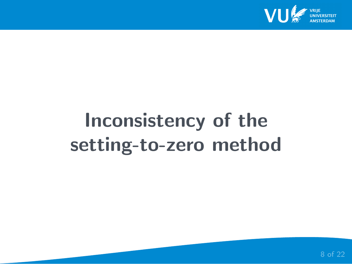

# <span id="page-7-0"></span>Inconsistency of the setting-to-zero method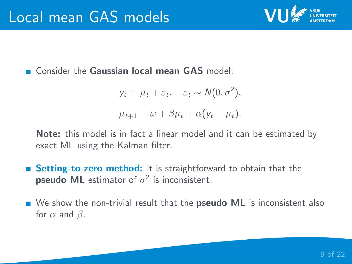

Consider the Gaussian local mean GAS model:

$$
y_t = \mu_t + \varepsilon_t, \quad \varepsilon_t \sim N(0, \sigma^2),
$$
  

$$
\mu_{t+1} = \omega + \beta \mu_t + \alpha (y_t - \mu_t).
$$

Note: this model is in fact a linear model and it can be estimated by exact ML using the Kalman filter.

- **Setting-to-zero method:** it is straightforward to obtain that the **pseudo ML** estimator of  $\sigma^2$  is inconsistent.
- **No** We show the non-trivial result that the **pseudo ML** is inconsistent also for  $\alpha$  and  $\beta$ .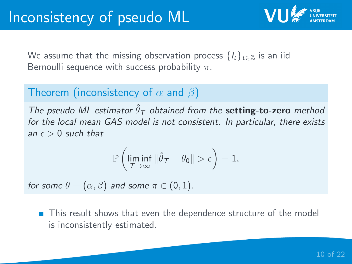We assume that the missing observation process  $\{I_t\}_{t\in\mathbb{Z}}$  is an iid Bernoulli sequence with success probability  $\pi$ .

### Theorem (inconsistency of  $\alpha$  and  $\beta$ )

The pseudo ML estimator  $\hat{\theta}_{T}$  obtained from the setting-to-zero method for the local mean GAS model is not consistent. In particular, there exists an  $\epsilon > 0$  such that

$$
\mathbb{P}\left(\liminf_{T\to\infty}\|\hat{\theta}_T-\theta_0\|>\epsilon\right)=1,
$$

for some  $\theta = (\alpha, \beta)$  and some  $\pi \in (0, 1)$ .

This result shows that even the dependence structure of the model is inconsistently estimated.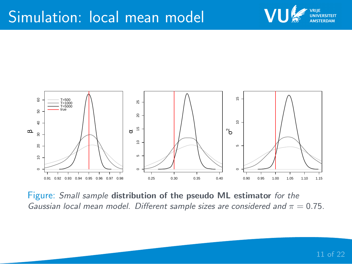# Simulation: local mean model



Figure: Small sample distribution of the pseudo ML estimator for the Gaussian local mean model. Different sample sizes are considered and  $\pi = 0.75$ .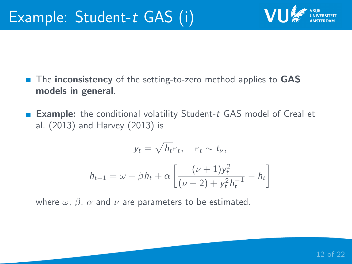- The inconsistency of the setting-to-zero method applies to GAS models in general.
- **Example:** the conditional volatility Student-t GAS model of Creal et al. (2013) and Harvey (2013) is

$$
y_t = \sqrt{h_t} \varepsilon_t, \quad \varepsilon_t \sim t_{\nu},
$$

$$
h_{t+1} = \omega + \beta h_t + \alpha \left[ \frac{(\nu + 1)y_t^2}{(\nu - 2) + y_t^2 h_t^{-1}} - h_t \right]
$$

where  $\omega$ ,  $\beta$ ,  $\alpha$  and  $\nu$  are parameters to be estimated.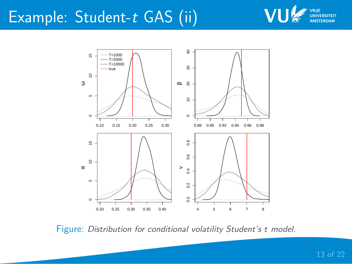# Example: Student-t GAS (ii)



Figure: Distribution for conditional volatility Student's t model.

VU

VRIIE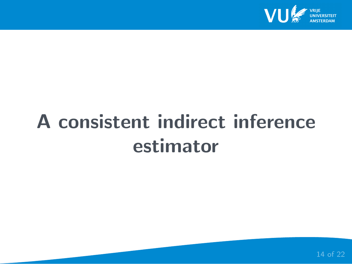

# <span id="page-13-0"></span>A consistent indirect inference estimator

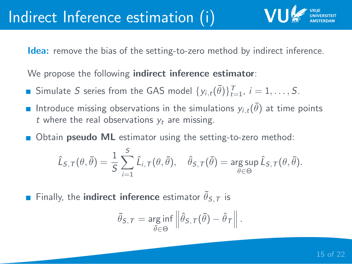Idea: remove the bias of the setting-to-zero method by indirect inference.

We propose the following **indirect inference estimator**:

- Simulate S series from the GAS model  $\{y_{i,t}(\bar{\theta})\}_{t=1}^T$ ,  $i=1,\ldots, S$ .
- Introduce missing observations in the simulations  $y_{i,t} (\bar{\theta})$  at time points  $\mathbb{R}^2$ t where the real observations  $y_t$  are missing.
- Obtain **pseudo ML** estimator using the setting-to-zero method:

$$
\hat{L}_{S,T}(\theta,\bar{\theta})=\frac{1}{S}\sum_{i=1}^{S}\hat{L}_{i,T}(\theta,\bar{\theta}), \quad \hat{\theta}_{S,T}(\bar{\theta})=\underset{\theta\in\Theta}{\arg\sup}\,\hat{L}_{S,T}(\theta,\bar{\theta}).
$$

Finally, the **indirect inference** estimator  $\tilde{\theta}_{S,T}$  is

$$
\tilde{\theta}_{S,T} = \underset{\bar{\theta} \in \Theta}{\arg \inf} \left\| \hat{\theta}_{S,T}(\bar{\theta}) - \hat{\theta}_T \right\|.
$$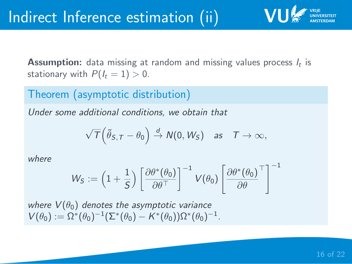**Assumption:** data missing at random and missing values process  $I_t$  is stationary with  $P(I_t = 1) > 0$ .

Theorem (asymptotic distribution)

Under some additional conditions, we obtain that

$$
\sqrt{T}\Big(\widetilde{\theta}_{S,T}-\theta_0\Big)\overset{d}{\to} N(0,W_S)\quad \text{as}\quad T\to\infty,
$$

where

$$
W_S := \left(1 + \frac{1}{S}\right) \left[ \frac{\partial \theta^*(\theta_0)}{\partial \theta^\top} \right]^{-1} V(\theta_0) \left[ \frac{\partial \theta^*(\theta_0)}{\partial \theta}^\top \right]^{-1}
$$

where  $V(\theta_0)$  denotes the asymptotic variance  $V(\theta_0) := \Omega^*(\theta_0)^{-1} (\Sigma^*(\theta_0) - K^*(\theta_0)) \Omega^*(\theta_0)^{-1}.$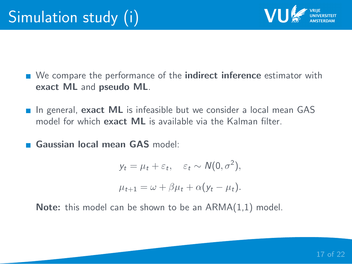

- We compare the performance of the **indirect inference** estimator with exact ML and pseudo ML.
- In general, exact ML is infeasible but we consider a local mean GAS model for which **exact ML** is available via the Kalman filter.
- Gaussian local mean GAS model:

$$
y_t = \mu_t + \varepsilon_t, \quad \varepsilon_t \sim N(0, \sigma^2),
$$
  

$$
\mu_{t+1} = \omega + \beta \mu_t + \alpha (y_t - \mu_t).
$$

**Note:** this model can be shown to be an  $ARMA(1,1)$  model.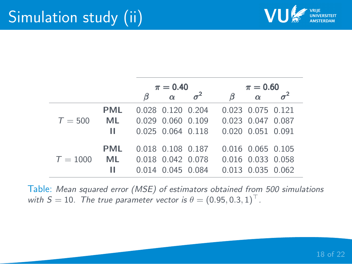

|            |            | $\pi=0.40$ |                   |  | $\pi = 0.60$ |                         |  |
|------------|------------|------------|-------------------|--|--------------|-------------------------|--|
|            |            |            | $\alpha$          |  | ß            | $\alpha$                |  |
|            | <b>PML</b> |            | 0.028 0.120 0.204 |  |              | 0.023 0.075 0.121       |  |
| $T = 500$  | <b>ML</b>  |            | 0.029 0.060 0.109 |  |              | 0.023 0.047 0.087       |  |
|            | н          |            | 0.025 0.064 0.118 |  |              | 0.020 0.051 0.091       |  |
|            | <b>PML</b> |            | 0.018 0.108 0.187 |  |              | $0.016$ $0.065$ $0.105$ |  |
| $T = 1000$ | <b>ML</b>  |            | 0.018 0.042 0.078 |  |              | 0.016 0.033 0.058       |  |
|            | н          |            | 0.014 0.045 0.084 |  |              | 0.013 0.035 0.062       |  |

Table: Mean squared error (MSE) of estimators obtained from 500 simulations with  $S = 10$ . The true parameter vector is  $\theta = (0.95, 0.3, 1)^\top$ .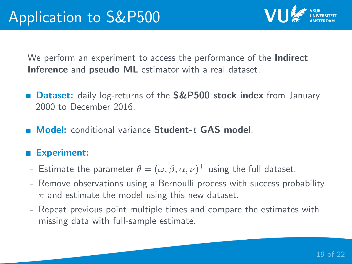

We perform an experiment to access the performance of the **Indirect** Inference and pseudo ML estimator with a real dataset.

- **Dataset:** daily log-returns of the **S&P500 stock index** from January 2000 to December 2016.
- **Model:** conditional variance Student-t GAS model.

#### Experiment:  $\mathbf{r}$

- Estimate the parameter  $\theta=(\omega,\beta,\alpha,\nu)^\top$  using the full dataset.
- Remove observations using a Bernoulli process with success probability  $\pi$  and estimate the model using this new dataset.
- Repeat previous point multiple times and compare the estimates with missing data with full-sample estimate.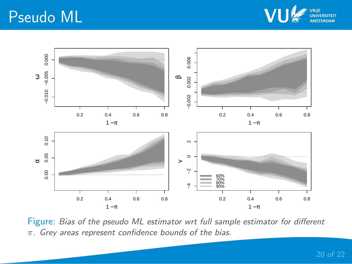# Pseudo ML





Figure: Bias of the pseudo ML estimator wrt full sample estimator for different  $\pi$ . Grey areas represent confidence bounds of the bias.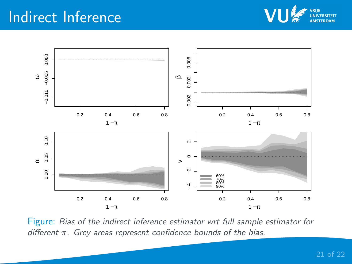# Indirect Inference





Figure: Bias of the indirect inference estimator wrt full sample estimator for different  $\pi$ . Grey areas represent confidence bounds of the bias.